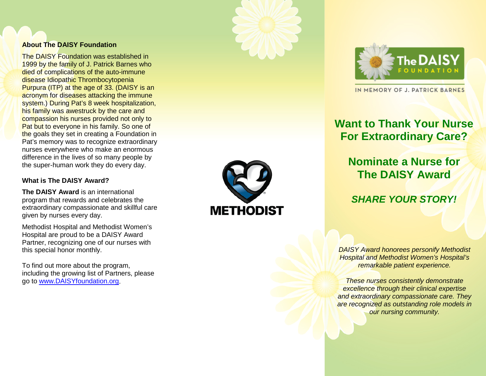#### **About The DAISY Foundation**

The DAISY Foundation was established in 1999 by the family of J. Patrick Barnes who died of complications of the auto-immune disease Idiopathic Thrombocytopenia Purpura (ITP) at the age of 33. (DAISY is an acronym for diseases attacking the immune system.) During Pat's 8 week hospitalization, his family was awestruck by the care and compassion his nurses provided not only to Pat but to everyone in his family. So one of the goals they set in creating a Foundation in Pat's memory was to recognize extraordinary nurses everywhere who make an enormous difference in the lives of so many people by the super -human work they do every day.

### **What is The DAISY Award?**

**The DAISY Award** is an international program that rewards and celebrates the extraordinary compassionate and skillful care given by nurses every day.

Methodist Hospital and Methodist Women's Hospital are proud to be a DAISY Award Partner, recognizing one of our nurses with this special honor monthly.

To find out more about the program, including the growing list of Partners, please go to [www.DAISYfoundation.org](http://www.daisyfoundation.org/) .





IN MEMORY OF J. PATRICK BARNES

# **Want to Thank Your Nurse For Extraordinary Care?**

# **Nominate a Nurse for The DAISY Award**

### *SHARE YOUR STORY!*

*DAISY Award honorees personify Methodist Hospital and Methodist Women's Hospital's remarkable patient experience.*

*These nurses consistently demonstrate excellence through their clinical expertise and extraordinary compassionate care. They are recognized as outstanding role models in our nursing community.*